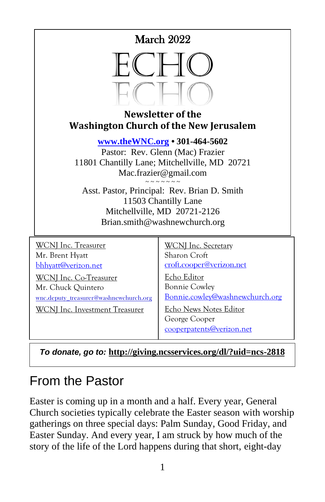



#### **Newsletter of the Washington Church of the New Jerusalem**

**[www.theWNC.org](http://www.thewnc.org/) • 301-464-5602**

Pastor: Rev. Glenn (Mac) Frazier 11801 Chantilly Lane; Mitchellville, MD 20721 Mac.frazier@gmail.com

 $\sim$   $\sim$   $\sim$   $\sim$   $\sim$   $\sim$ Asst. Pastor, Principal: Rev. Brian D. Smith 11503 Chantilly Lane Mitchellville, MD 20721-2126 Brian.smith@washnewchurch.org

| <b>WCNJ</b> Inc. Treasurer             | <b>WCNI</b> Inc. Secretary                                           |
|----------------------------------------|----------------------------------------------------------------------|
| Mr. Brent Hyatt                        | Sharon Croft                                                         |
| bhhyatt@verizon.net                    | croft.cooper@verizon.net                                             |
| WCNJ Inc. Co-Treasurer                 | Echo Editor                                                          |
| Mr. Chuck Quintero                     | <b>Bonnie Cowley</b>                                                 |
| wnc.deputy_treasurer@washnewchurch.org | Bonnie.cowley@washnewchurch.org                                      |
| WCNI Inc. Investment Treasurer         | Echo News Notes Editor<br>George Cooper<br>cooperpatents@verizon.net |

*To donate, go to:* **<http://giving.ncsservices.org/dl/?uid=ncs-2818>**

# From the Pastor

Easter is coming up in a month and a half. Every year, General Church societies typically celebrate the Easter season with worship gatherings on three special days: Palm Sunday, Good Friday, and Easter Sunday. And every year, I am struck by how much of the story of the life of the Lord happens during that short, eight-day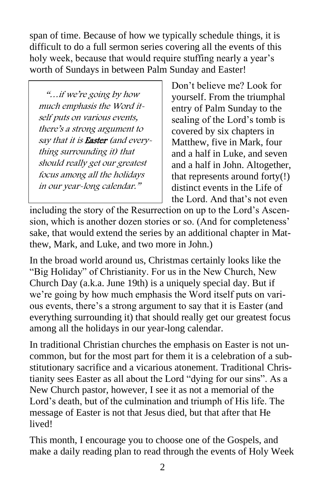span of time. Because of how we typically schedule things, it is difficult to do a full sermon series covering all the events of this holy week, because that would require stuffing nearly a year's worth of Sundays in between Palm Sunday and Easter!

 "…if we're going by how much emphasis the Word itself puts on various events, there's a strong argument to say that it is **Easter** (and everything surrounding it) that should really get our greatest focus among all the holidays in our year-long calendar."

Don't believe me? Look for yourself. From the triumphal entry of Palm Sunday to the sealing of the Lord's tomb is covered by six chapters in Matthew, five in Mark, four and a half in Luke, and seven and a half in John. Altogether, that represents around forty(!) distinct events in the Life of the Lord. And that's not even

including the story of the Resurrection on up to the Lord's Ascension, which is another dozen stories or so. (And for completeness' sake, that would extend the series by an additional chapter in Matthew, Mark, and Luke, and two more in John.)

In the broad world around us, Christmas certainly looks like the "Big Holiday" of Christianity. For us in the New Church, New Church Day (a.k.a. June 19th) is a uniquely special day. But if we're going by how much emphasis the Word itself puts on various events, there's a strong argument to say that it is Easter (and everything surrounding it) that should really get our greatest focus among all the holidays in our year-long calendar.

In traditional Christian churches the emphasis on Easter is not uncommon, but for the most part for them it is a celebration of a substitutionary sacrifice and a vicarious atonement. Traditional Christianity sees Easter as all about the Lord "dying for our sins". As a New Church pastor, however, I see it as not a memorial of the Lord's death, but of the culmination and triumph of His life. The message of Easter is not that Jesus died, but that after that He lived!

This month, I encourage you to choose one of the Gospels, and make a daily reading plan to read through the events of Holy Week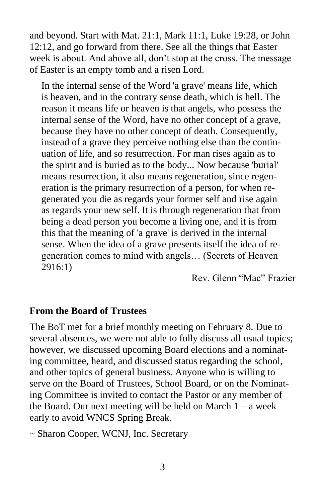and beyond. Start with Mat. 21:1, Mark 11:1, Luke 19:28, or John 12:12, and go forward from there. See all the things that Easter week is about. And above all, don't stop at the cross. The message of Easter is an empty tomb and a risen Lord.

In the internal sense of the Word 'a grave' means life, which is heaven, and in the contrary sense death, which is hell. The reason it means life or heaven is that angels, who possess the internal sense of the Word, have no other concept of a grave, because they have no other concept of death. Consequently, instead of a grave they perceive nothing else than the continuation of life, and so resurrection. For man rises again as to the spirit and is buried as to the body... Now because 'burial' means resurrection, it also means regeneration, since regeneration is the primary resurrection of a person, for when regenerated you die as regards your former self and rise again as regards your new self. It is through regeneration that from being a dead person you become a living one, and it is from this that the meaning of 'a grave' is derived in the internal sense. When the idea of a grave presents itself the idea of regeneration comes to mind with angels… (Secrets of Heaven 2916:1)

Rev. Glenn "Mac" Frazier

#### **From the Board of Trustees**

The BoT met for a brief monthly meeting on February 8. Due to several absences, we were not able to fully discuss all usual topics; however, we discussed upcoming Board elections and a nominating committee, heard, and discussed status regarding the school, and other topics of general business. Anyone who is willing to serve on the Board of Trustees, School Board, or on the Nominating Committee is invited to contact the Pastor or any member of the Board. Our next meeting will be held on March  $1 - a$  week early to avoid WNCS Spring Break.

~ Sharon Cooper, WCNJ, Inc. Secretary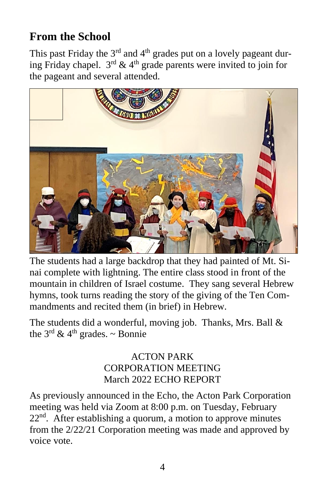## **From the School**

This past Friday the  $3<sup>rd</sup>$  and  $4<sup>th</sup>$  grades put on a lovely pageant during Friday chapel.  $3^{rd}$  & 4<sup>th</sup> grade parents were invited to join for the pageant and several attended.



The students had a large backdrop that they had painted of Mt. Sinai complete with lightning. The entire class stood in front of the mountain in children of Israel costume. They sang several Hebrew hymns, took turns reading the story of the giving of the Ten Commandments and recited them (in brief) in Hebrew.

The students did a wonderful, moving job. Thanks, Mrs. Ball & the  $3<sup>rd</sup>$  & 4<sup>th</sup> grades. ~ Bonnie

#### ACTON PARK CORPORATION MEETING March 2022 ECHO REPORT

As previously announced in the Echo, the Acton Park Corporation meeting was held via Zoom at 8:00 p.m. on Tuesday, February  $22<sup>nd</sup>$ . After establishing a quorum, a motion to approve minutes from the 2/22/21 Corporation meeting was made and approved by voice vote.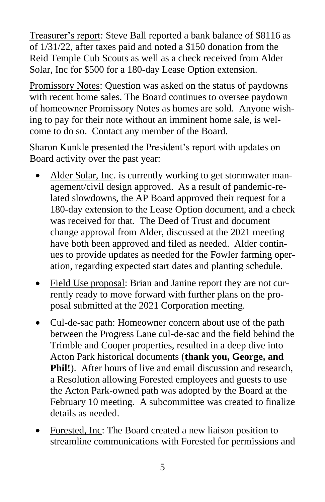Treasurer's report: Steve Ball reported a bank balance of \$8116 as of 1/31/22, after taxes paid and noted a \$150 donation from the Reid Temple Cub Scouts as well as a check received from Alder Solar, Inc for \$500 for a 180-day Lease Option extension.

Promissory Notes: Question was asked on the status of paydowns with recent home sales. The Board continues to oversee paydown of homeowner Promissory Notes as homes are sold. Anyone wishing to pay for their note without an imminent home sale, is welcome to do so. Contact any member of the Board.

Sharon Kunkle presented the President's report with updates on Board activity over the past year:

- Alder Solar, Inc. is currently working to get stormwater management/civil design approved. As a result of pandemic-related slowdowns, the AP Board approved their request for a 180-day extension to the Lease Option document, and a check was received for that. The Deed of Trust and document change approval from Alder, discussed at the 2021 meeting have both been approved and filed as needed. Alder continues to provide updates as needed for the Fowler farming operation, regarding expected start dates and planting schedule.
- Field Use proposal: Brian and Janine report they are not currently ready to move forward with further plans on the proposal submitted at the 2021 Corporation meeting.
- Cul-de-sac path: Homeowner concern about use of the path between the Progress Lane cul-de-sac and the field behind the Trimble and Cooper properties, resulted in a deep dive into Acton Park historical documents (**thank you, George, and Phil!**). After hours of live and email discussion and research, a Resolution allowing Forested employees and guests to use the Acton Park-owned path was adopted by the Board at the February 10 meeting. A subcommittee was created to finalize details as needed.
- Forested, Inc: The Board created a new liaison position to streamline communications with Forested for permissions and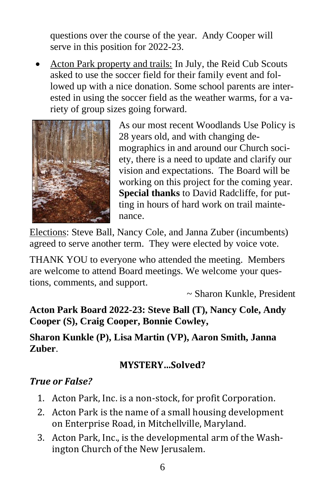questions over the course of the year. Andy Cooper will serve in this position for 2022-23.

• Acton Park property and trails: In July, the Reid Cub Scouts asked to use the soccer field for their family event and followed up with a nice donation. Some school parents are interested in using the soccer field as the weather warms, for a variety of group sizes going forward.



As our most recent Woodlands Use Policy is 28 years old, and with changing demographics in and around our Church society, there is a need to update and clarify our vision and expectations. The Board will be working on this project for the coming year. **Special thanks** to David Radcliffe, for putting in hours of hard work on trail maintenance.

Elections: Steve Ball, Nancy Cole, and Janna Zuber (incumbents) agreed to serve another term. They were elected by voice vote.

THANK YOU to everyone who attended the meeting. Members are welcome to attend Board meetings. We welcome your questions, comments, and support.

~ Sharon Kunkle, President

**Acton Park Board 2022-23: Steve Ball (T), Nancy Cole, Andy Cooper (S), Craig Cooper, Bonnie Cowley,**

**Sharon Kunkle (P), Lisa Martin (VP), Aaron Smith, Janna Zuber**.

#### **MYSTERY…Solved?**

#### *True or False?*

- 1. Acton Park, Inc. is a non-stock, for profit Corporation.
- 2. Acton Park is the name of a small housing development on Enterprise Road, in Mitchellville, Maryland.
- 3. Acton Park, Inc., is the developmental arm of the Washington Church of the New Jerusalem.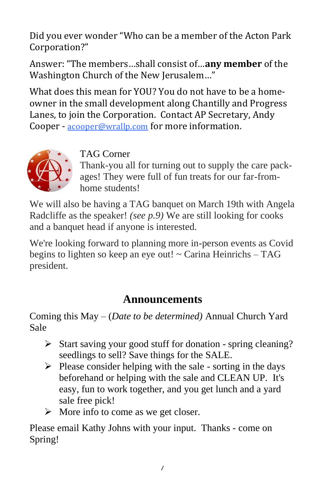Did you ever wonder "Who can be a member of the Acton Park Corporation?"

Answer: "The members…shall consist of…**any member** of the Washington Church of the New Jerusalem…"

What does this mean for YOU? You do not have to be a homeowner in the small development along Chantilly and Progress Lanes, to join the Corporation. Contact AP Secretary, Andy Cooper - [acooper@wrallp.com](mailto:acooper@wrallp.com) for more information.



## TAG Corner

Thank-you all for turning out to supply the care packages! They were full of fun treats for our far-fromhome students!

We will also be having a TAG banquet on March 19th with Angela Radcliffe as the speaker! *(see p.9)* We are still looking for cooks and a banquet head if anyone is interested.

We're looking forward to planning more in-person events as Covid begins to lighten so keep an eye out! ~ Carina Heinrichs – TAG president.

## **Announcements**

Coming this May – (*Date to be determined)* Annual Church Yard Sale

- ➢ Start saving your good stuff for donation spring cleaning? seedlings to sell? Save things for the SALE.
- $\triangleright$  Please consider helping with the sale sorting in the days beforehand or helping with the sale and CLEAN UP. It's easy, fun to work together, and you get lunch and a yard sale free pick!
- $\triangleright$  More info to come as we get closer.

Please email Kathy Johns with your input. Thanks - come on Spring!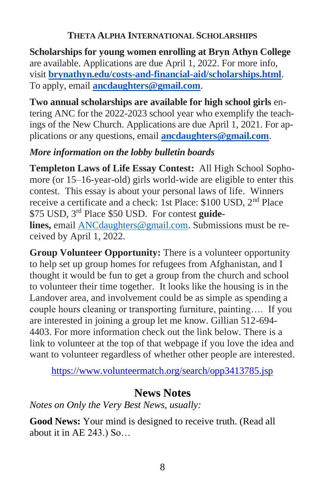#### **THETA ALPHA INTERNATIONAL SCHOLARSHIPS**

**Scholarships for young women enrolling at Bryn Athyn College** are available. Applications are due April 1, 2022. For more info, visit **[brynathyn.edu/costs-and-financial-aid/scholarships.html](https://brynathyn.edu/costs-and-financial-aid/scholarships.html)**. To apply, email **[ancdaughters@gmail.com](mailto:ancdaughters@gmail.com)**.

**Two annual scholarships are available for high school girls** entering ANC for the 2022-2023 school year who exemplify the teachings of the New Church. Applications are due April 1, 2021. For applications or any questions, email **[ancdaughters@gmail.com](mailto:ancdaughters@gmail.com)**.

#### *More information on the lobby bulletin boards*

**Templeton Laws of Life Essay Contest:** All High School Sophomore (or 15–16-year-old) girls world-wide are eligible to enter this contest. This essay is about your personal laws of life. Winners receive a certificate and a check: 1st Place: \$100 USD, 2nd Place \$75 USD, 3rd Place \$50 USD. For contest **guidelines,** email [ANCdaughters@gmail.com.](mailto:ANCdaughters@gmail.com) Submissions must be received by April 1, 2022.

**Group Volunteer Opportunity:** There is a volunteer opportunity to help set up group homes for refugees from Afghanistan, and I thought it would be fun to get a group from the church and school to volunteer their time together. It looks like the housing is in the Landover area, and involvement could be as simple as spending a couple hours cleaning or transporting furniture, painting…. If you are interested in joining a group let me know. Gillian 512-694- 4403. For more information check out the link below. There is a link to volunteer at the top of that webpage if you love the idea and want to volunteer regardless of whether other people are interested.

<https://www.volunteermatch.org/search/opp3413785.jsp>

## **News Notes**

*Notes on Only the Very Best News, usually:*

**Good News:** Your mind is designed to receive truth. (Read all about it in AE 243.) So…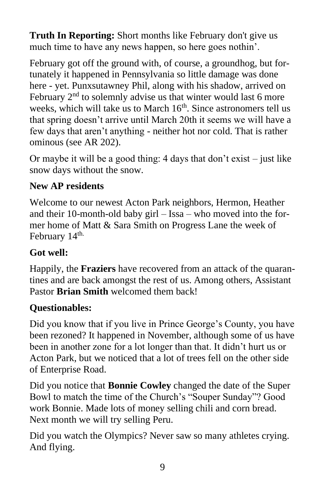**Truth In Reporting:** Short months like February don't give us much time to have any news happen, so here goes nothin'.

February got off the ground with, of course, a groundhog, but fortunately it happened in Pennsylvania so little damage was done here - yet. Punxsutawney Phil, along with his shadow, arrived on February  $2<sup>nd</sup>$  to solemnly advise us that winter would last 6 more weeks, which will take us to March  $16<sup>th</sup>$ . Since astronomers tell us that spring doesn't arrive until March 20th it seems we will have a few days that aren't anything - neither hot nor cold. That is rather ominous (see AR 202).

Or maybe it will be a good thing: 4 days that don't exist – just like snow days without the snow.

## **New AP residents**

Welcome to our newest Acton Park neighbors, Hermon, Heather and their 10-month-old baby girl – Issa – who moved into the former home of Matt & Sara Smith on Progress Lane the week of February 14<sup>th.</sup>

## **Got well:**

Happily, the **Fraziers** have recovered from an attack of the quarantines and are back amongst the rest of us. Among others, Assistant Pastor **Brian Smith** welcomed them back!

## **Questionables:**

Did you know that if you live in Prince George's County, you have been rezoned? It happened in November, although some of us have been in another zone for a lot longer than that. It didn't hurt us or Acton Park, but we noticed that a lot of trees fell on the other side of Enterprise Road.

Did you notice that **Bonnie Cowley** changed the date of the Super Bowl to match the time of the Church's "Souper Sunday"? Good work Bonnie. Made lots of money selling chili and corn bread. Next month we will try selling Peru.

Did you watch the Olympics? Never saw so many athletes crying. And flying.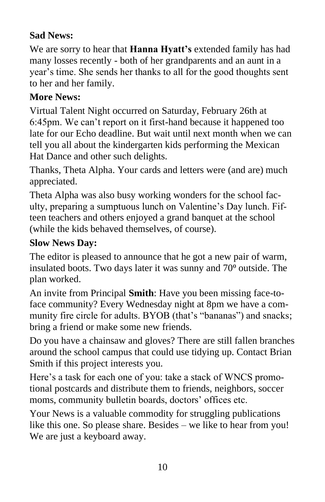## **Sad News:**

We are sorry to hear that **Hanna Hyatt's** extended family has had many losses recently - both of her grandparents and an aunt in a year's time. She sends her thanks to all for the good thoughts sent to her and her family.

#### **More News:**

Virtual Talent Night occurred on Saturday, February 26th at 6:45pm. We can't report on it first-hand because it happened too late for our Echo deadline. But wait until next month when we can tell you all about the kindergarten kids performing the Mexican Hat Dance and other such delights.

Thanks, Theta Alpha. Your cards and letters were (and are) much appreciated.

Theta Alpha was also busy working wonders for the school faculty, preparing a sumptuous lunch on Valentine's Day lunch. Fifteen teachers and others enjoyed a grand banquet at the school (while the kids behaved themselves, of course).

#### **Slow News Day:**

The editor is pleased to announce that he got a new pair of warm, insulated boots. Two days later it was sunny and 70<sup>°</sup> outside. The plan worked.

An invite from Principal **Smith**: Have you been missing face-toface community? Every Wednesday night at 8pm we have a community fire circle for adults. BYOB (that's "bananas") and snacks; bring a friend or make some new friends.

Do you have a chainsaw and gloves? There are still fallen branches around the school campus that could use tidying up. Contact Brian Smith if this project interests you.

Here's a task for each one of you: take a stack of WNCS promotional postcards and distribute them to friends, neighbors, soccer moms, community bulletin boards, doctors' offices etc.

Your News is a valuable commodity for struggling publications like this one. So please share. Besides – we like to hear from you! We are just a keyboard away.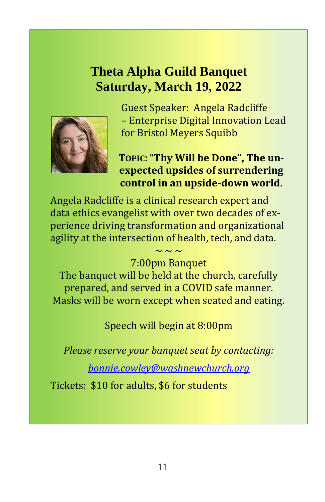## **Theta Alpha Guild Banquet Saturday, March 19, 2022**



Guest Speaker: Angela Radcliffe – Enterprise Digital Innovation Lead for Bristol Meyers Squibb

## **TOPIC:"Thy Will be Done", The unexpected upsides of surrendering control in an upside-down world.**

Angela Radcliffe is a clinical research expert and data ethics evangelist with over two decades of experience driving transformation and organizational agility at the intersection of health, tech, and data.

#### $\sim$   $\sim$   $\sim$ 7:00pm Banquet

The banquet will be held at the church, carefully prepared, and served in a COVID safe manner. Masks will be worn except when seated and eating.

Speech will begin at 8:00pm

*Please reserve your banquet seat by contacting:* 

*[bonnie.cowley@washnewchurch.org](mailto:bonnie.cowley@washnewchurch.org)*

Tickets: \$10 for adults, \$6 for students